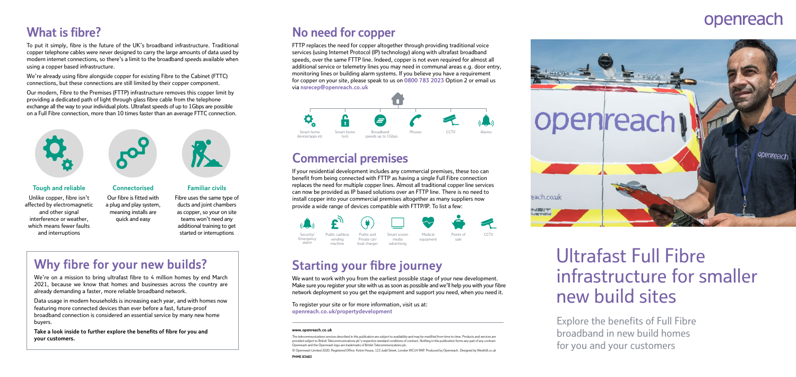### **What is fibre?**

To put it simply, fibre is the future of the UK's broadband infrastructure. Traditional copper telephone cables were never designed to carry the large amounts of data used by modern internet connections, so there's a limit to the broadband speeds available when using a copper based infrastructure.

We're already using fibre alongside copper for existing Fibre to the Cabinet (FTTC) connections, but these connections are still limited by their copper component.

Our modern, Fibre to the Premises (FTTP) infrastructure removes this copper limit by providing a dedicated path of light through glass fibre cable from the telephone exchange all the way to your individual plots. Ultrafast speeds of up to 1Gbps are possible on a Full Fibre connection, more than 10 times faster than an average FTTC connection.



### **Why fibre for your new builds?**

We're on a mission to bring ultrafast fibre to 4 million homes by end March 2021, because we know that homes and businesses across the country are already demanding a faster, more reliable broadband network.

Data usage in modern households is increasing each year, and with homes now featuring more connected devices than ever before a fast, future-proof broadband connection is considered an essential service by many new home buyers.

**Take a look inside to further explore the benefits of fibre for you and your customers.**

#### **Tough and reliable**

We want to work with you from the earliest possible stage of your new development. Make sure you register your site with us as soon as possible and we'll help you with your fibre network deployment so you get the equipment and support you need, when you need it.

Unlike copper, fibre isn't affected by electromagnetic and other signal interference or weather, which means fewer faults and interruptions

### **Connectorised**

Our fibre is fitted with a plug and play system, meaning installs are quick and easy

#### **Familiar civils**

Fibre uses the same type of ducts and joint chambers as copper, so your on site teams won't need any additional training to get started or interruptions

### **No need for copper**

FTTP replaces the need for copper altogether through providing traditional voice services (using Internet Protocol (IP) technology) along with ultrafast broadband speeds, over the same FTTP line. Indeed, copper is not even required for almost all additional service or telemetry lines you may need in communal areas e.g. door entry, monitoring lines or building alarm systems. If you believe you have a requirement for copper on your site, please speak to us on **0800 783 2023** Option 2 or email us via **nsrecep@openreach.co.uk** 



# Ultrafast Full Fibre infrastructure for smaller new build sites

Explore the benefits of Full Fibre broadband in new build homes for you and your customers

## **Starting your fibre journey**

To register your site or for more information, visit us at: **openreach.co.uk/propertydevelopment**



### **Commercial premises**

If your residential development includes any commercial premises, these too can benefit from being connected with FTTP as having a single Full Fibre connection replaces the need for multiple copper lines. Almost all traditional copper line services can now be provided as IP based solutions over an FTTP line. There is no need to install copper into your commercial premises altogether as many suppliers now provide a wide range of devices compatible with FTTP/IP. To list a few:

#### **[www.openreach.co.uk](http://www.openreach.co.uk)**

The telecommunications services described in this publication are subject to availability and may be modified from time to time. Products and services are provided subject to British Telecommunications plc's respective standard conditions of contract. Nothing in this publication forms any part of any contract. Openreach and the Openreach logo are trademarks of British Telecommunications plc.

© Openreach Limited 2020. Registered Office: Kelvin House, 123 Judd Street, London WC1H 9NP. Produced by Openreach. Designed by Westhill.co.uk

# openreach